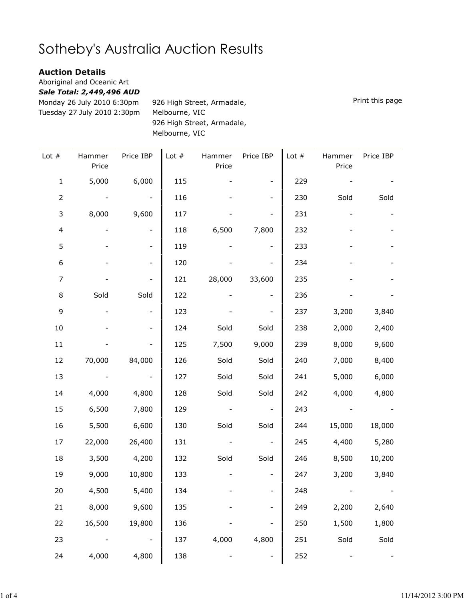## Sotheby's Australia Auction Results

## Auction Details

Aboriginal and Oceanic Art

Sale Total: 2,449,496 AUD

Monday 26 July 2010 6:30pm Tuesday 27 July 2010 2:30pm 926 High Street, Armadale, Melbourne, VIC 926 High Street, Armadale, Melbourne, VIC

Lot # Hammer Price Price IBP | Lot # Hammer Price Price IBP | Lot # Hammer Price Price IBP 1 5,000 6,000 115 - - 229 - - -2 - - - 116 - - 230 Sold Sold 3 8,000 9,600 117 - - 231 - - -4 - - 118 6,500 7,800 232 - - 5 - 119 - - 233 - - -6 - - 120 - - 234 - - -7 - - 121 28,000 33,600 235 - - -8 Sold Sold 122 - - 236 - - -9 - - 123 - - 237 3,200 3,840 10 - - 124 Sold Sold 238 2,000 2,400 11 - - 125 7,500 9,000 239 8,000 9,600 12 70,000 84,000 126 Sold Sold 240 7,000 8,400 13 - - 127 Sold Sold 241 5,000 6,000 14 4,000 4,800 128 Sold Sold 242 4,000 4,800 15 6,500 7,800 129 - - 243 - - 16 5,500 6,600 130 Sold Sold 244 15,000 18,000 17 22,000 26,400 131 - - 245 4,400 5,280 18 3,500 4,200 132 Sold Sold 246 8,500 10,200 19 9,000 10,800 133 - - 247 3,200 3,840 20 4,500 5,400 134 - - 248 - - 21 8,000 9,600 135 - - 249 2,200 2,640 22 16,500 19,800 136 - - 250 1,500 1,800 23 - - 137 4,000 4,800 251 Sold Sold 24 4,000 4,800 138 - - 252 - -

Print this page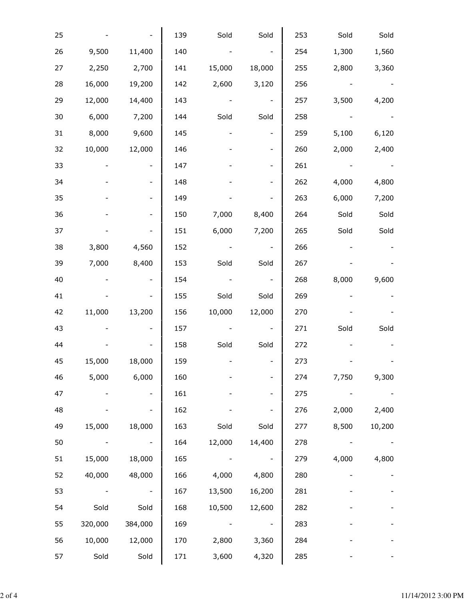| 25 |         |                          | 139 | Sold   | Sold                     | 253 | Sold  | Sold   |
|----|---------|--------------------------|-----|--------|--------------------------|-----|-------|--------|
| 26 | 9,500   | 11,400                   | 140 |        |                          | 254 | 1,300 | 1,560  |
| 27 | 2,250   | 2,700                    | 141 | 15,000 | 18,000                   | 255 | 2,800 | 3,360  |
| 28 | 16,000  | 19,200                   | 142 | 2,600  | 3,120                    | 256 |       |        |
| 29 | 12,000  | 14,400                   | 143 |        |                          | 257 | 3,500 | 4,200  |
| 30 | 6,000   | 7,200                    | 144 | Sold   | Sold                     | 258 |       |        |
| 31 | 8,000   | 9,600                    | 145 |        | $\qquad \qquad -$        | 259 | 5,100 | 6,120  |
| 32 | 10,000  | 12,000                   | 146 |        |                          | 260 | 2,000 | 2,400  |
| 33 |         | $\overline{\phantom{a}}$ | 147 |        |                          | 261 |       |        |
| 34 |         | $\qquad \qquad -$        | 148 |        |                          | 262 | 4,000 | 4,800  |
| 35 |         |                          | 149 |        |                          | 263 | 6,000 | 7,200  |
| 36 |         | $\qquad \qquad -$        | 150 | 7,000  | 8,400                    | 264 | Sold  | Sold   |
| 37 |         |                          | 151 | 6,000  | 7,200                    | 265 | Sold  | Sold   |
| 38 | 3,800   | 4,560                    | 152 |        |                          | 266 |       |        |
| 39 | 7,000   | 8,400                    | 153 | Sold   | Sold                     | 267 |       |        |
| 40 |         | $\overline{\phantom{a}}$ | 154 |        | $\overline{\phantom{a}}$ | 268 | 8,000 | 9,600  |
| 41 |         |                          | 155 | Sold   | Sold                     | 269 |       |        |
| 42 | 11,000  | 13,200                   | 156 | 10,000 | 12,000                   | 270 |       |        |
| 43 |         |                          | 157 |        |                          | 271 | Sold  | Sold   |
| 44 |         |                          | 158 | Sold   | Sold                     | 272 |       |        |
| 45 | 15,000  | 18,000                   | 159 |        |                          | 273 |       |        |
| 46 | 5,000   | 6,000                    | 160 |        |                          | 274 | 7,750 | 9,300  |
| 47 |         | $\overline{\phantom{0}}$ | 161 |        |                          | 275 |       |        |
| 48 |         |                          | 162 |        |                          | 276 | 2,000 | 2,400  |
| 49 | 15,000  | 18,000                   | 163 | Sold   | Sold                     | 277 | 8,500 | 10,200 |
| 50 |         |                          | 164 | 12,000 | 14,400                   | 278 |       |        |
| 51 | 15,000  | 18,000                   | 165 |        | $\overline{\phantom{a}}$ | 279 | 4,000 | 4,800  |
| 52 | 40,000  | 48,000                   | 166 | 4,000  | 4,800                    | 280 |       |        |
| 53 |         |                          | 167 | 13,500 | 16,200                   | 281 |       |        |
| 54 | Sold    | Sold                     | 168 | 10,500 | 12,600                   | 282 |       |        |
| 55 | 320,000 | 384,000                  | 169 |        |                          | 283 |       |        |
| 56 | 10,000  | 12,000                   | 170 | 2,800  | 3,360                    | 284 |       |        |
| 57 | Sold    | Sold                     | 171 | 3,600  | 4,320                    | 285 |       |        |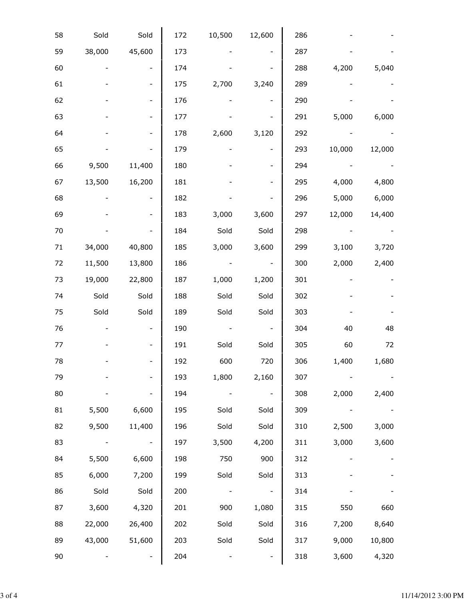| 58     | Sold   | Sold                         | 172 | 10,500 | 12,600 | 286 |        |        |
|--------|--------|------------------------------|-----|--------|--------|-----|--------|--------|
| 59     | 38,000 | 45,600                       | 173 |        |        | 287 |        |        |
| 60     |        |                              | 174 |        |        | 288 | 4,200  | 5,040  |
| 61     |        |                              | 175 | 2,700  | 3,240  | 289 |        |        |
| 62     |        |                              | 176 |        |        | 290 |        |        |
| 63     |        |                              | 177 |        |        | 291 | 5,000  | 6,000  |
| 64     |        |                              | 178 | 2,600  | 3,120  | 292 |        |        |
| 65     |        |                              | 179 |        |        | 293 | 10,000 | 12,000 |
| 66     | 9,500  | 11,400                       | 180 |        |        | 294 |        |        |
| 67     | 13,500 | 16,200                       | 181 |        |        | 295 | 4,000  | 4,800  |
| 68     |        | $\qquad \qquad \blacksquare$ | 182 |        |        | 296 | 5,000  | 6,000  |
| 69     |        |                              | 183 | 3,000  | 3,600  | 297 | 12,000 | 14,400 |
| 70     |        |                              | 184 | Sold   | Sold   | 298 |        |        |
| $71\,$ | 34,000 | 40,800                       | 185 | 3,000  | 3,600  | 299 | 3,100  | 3,720  |
| 72     | 11,500 | 13,800                       | 186 |        |        | 300 | 2,000  | 2,400  |
| 73     | 19,000 | 22,800                       | 187 | 1,000  | 1,200  | 301 |        |        |
| 74     | Sold   | Sold                         | 188 | Sold   | Sold   | 302 |        |        |
| 75     | Sold   | Sold                         | 189 | Sold   | Sold   | 303 |        |        |
| 76     |        | $\overline{\phantom{a}}$     | 190 |        |        | 304 | 40     | 48     |
| 77     |        | $\overline{\phantom{a}}$     | 191 | Sold   | Sold   | 305 | 60     | 72     |
| 78     |        |                              | 192 | 600    | 720    | 306 | 1,400  | 1,680  |
| 79     |        |                              | 193 | 1,800  | 2,160  | 307 |        |        |
| 80     |        |                              | 194 |        |        | 308 | 2,000  | 2,400  |
| 81     | 5,500  | 6,600                        | 195 | Sold   | Sold   | 309 |        |        |
| 82     | 9,500  | 11,400                       | 196 | Sold   | Sold   | 310 | 2,500  | 3,000  |
| 83     |        |                              | 197 | 3,500  | 4,200  | 311 | 3,000  | 3,600  |
| 84     | 5,500  | 6,600                        | 198 | 750    | 900    | 312 |        |        |
| 85     | 6,000  | 7,200                        | 199 | Sold   | Sold   | 313 |        |        |
| 86     | Sold   | Sold                         | 200 |        |        | 314 |        |        |
| 87     | 3,600  | 4,320                        | 201 | 900    | 1,080  | 315 | 550    | 660    |
| 88     | 22,000 | 26,400                       | 202 | Sold   | Sold   | 316 | 7,200  | 8,640  |
| 89     | 43,000 | 51,600                       | 203 | Sold   | Sold   | 317 | 9,000  | 10,800 |
| 90     |        |                              | 204 |        |        | 318 | 3,600  | 4,320  |